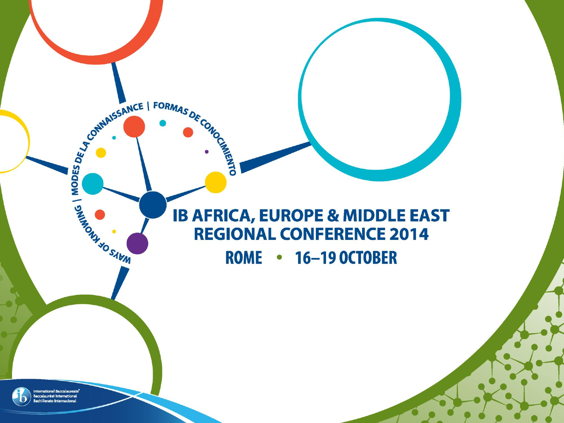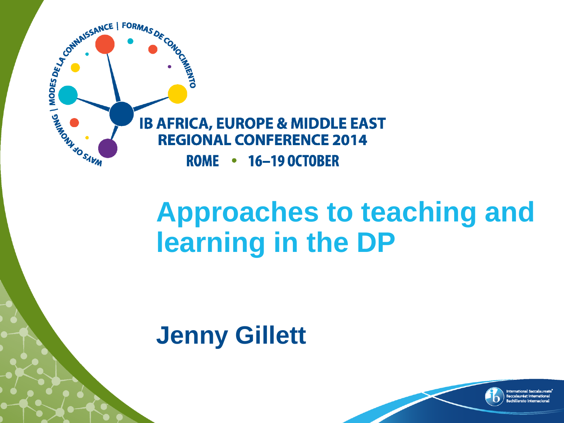

## **Approaches to teaching and learning in the DP**

### **Jenny Gillett**

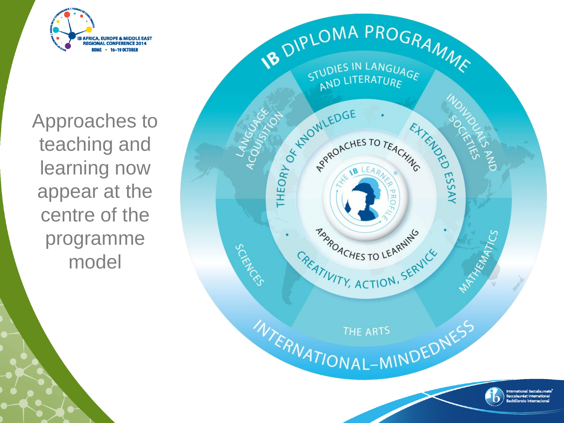

Approaches to teaching and learning now appear at the centre of the programme model

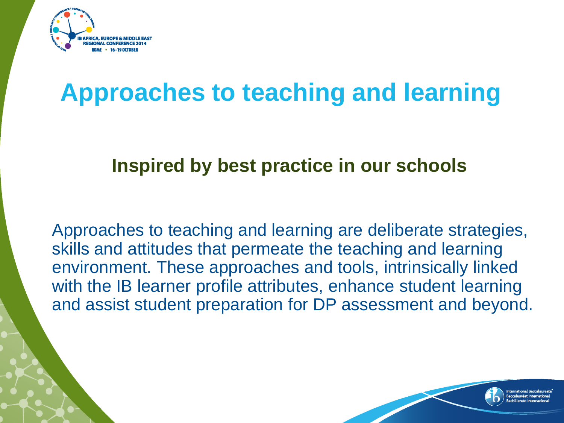

## **Approaches to teaching and learning**

#### **Inspired by best practice in our schools**

Approaches to teaching and learning are deliberate strategies, skills and attitudes that permeate the teaching and learning environment. These approaches and tools, intrinsically linked with the IB learner profile attributes, enhance student learning and assist student preparation for DP assessment and beyond.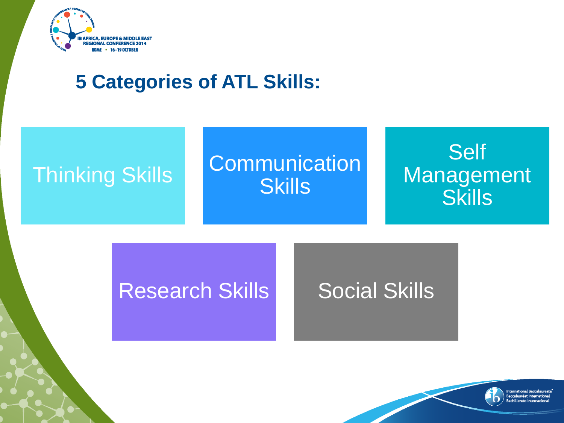

### **5 Categories of ATL Skills:**



#### Research Skills Social Skills

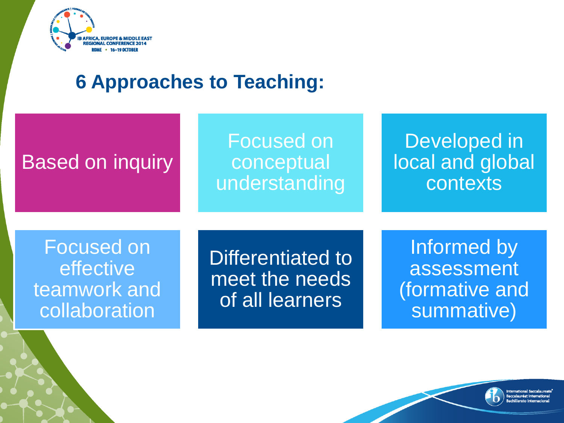

#### **6 Approaches to Teaching:**

| <b>Based on inquiry</b>                                         | <b>Focused on</b><br>conceptual<br>understanding       | Developed in<br>local and global<br>contexts              |
|-----------------------------------------------------------------|--------------------------------------------------------|-----------------------------------------------------------|
| <b>Focused on</b><br>effective<br>teamwork and<br>collaboration | Differentiated to<br>meet the needs<br>of all learners | Informed by<br>assessment<br>(formative and<br>summative) |

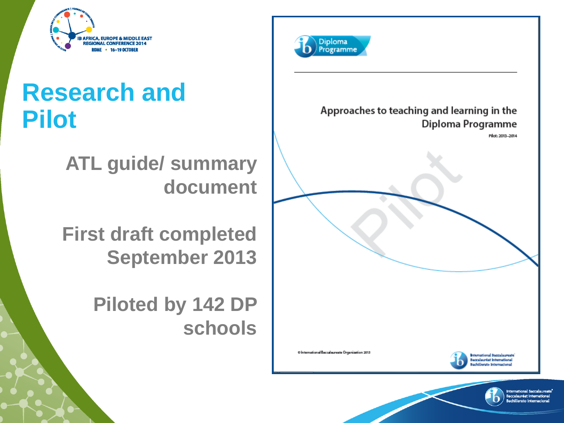

## **Research and Pilot**

**ATL guide/ summary document**

**First draft completed September 2013**

> **Piloted by 142 DP schools**





O International Baccalaureate Organization 2013

**Ismational Baccalaureate Baccalauréat International** chillerato Internacional

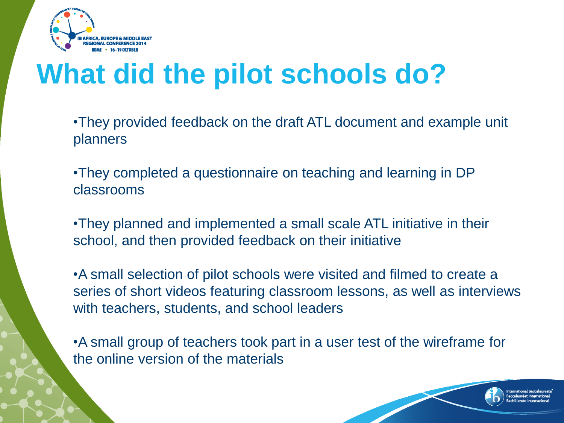

# **What did the pilot schools do?**

- •They provided feedback on the draft ATL document and example unit planners
- •They completed a questionnaire on teaching and learning in DP classrooms
- •They planned and implemented a small scale ATL initiative in their school, and then provided feedback on their initiative
- •A small selection of pilot schools were visited and filmed to create a series of short videos featuring classroom lessons, as well as interviews with teachers, students, and school leaders

•A small group of teachers took part in a user test of the wireframe for the online version of the materials

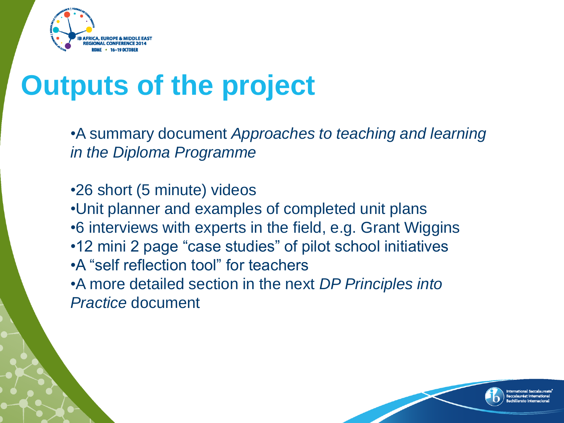

# **Outputs of the project**

•A summary document *Approaches to teaching and learning in the Diploma Programme*

•26 short (5 minute) videos •Unit planner and examples of completed unit plans •6 interviews with experts in the field, e.g. Grant Wiggins •12 mini 2 page "case studies" of pilot school initiatives •A "self reflection tool" for teachers •A more detailed section in the next *DP Principles into Practice* document

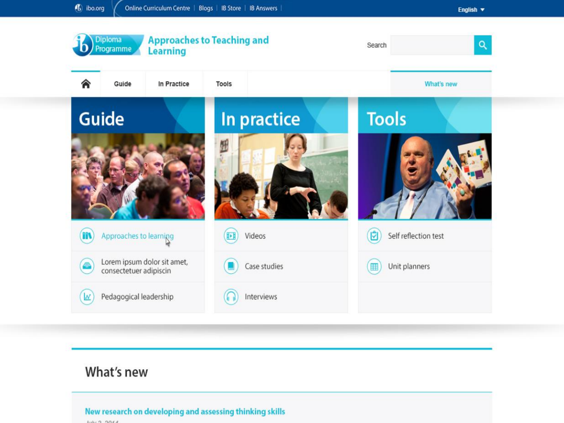

#### What's new

#### New research on developing and assessing thinking skills **BULLED PURSER**